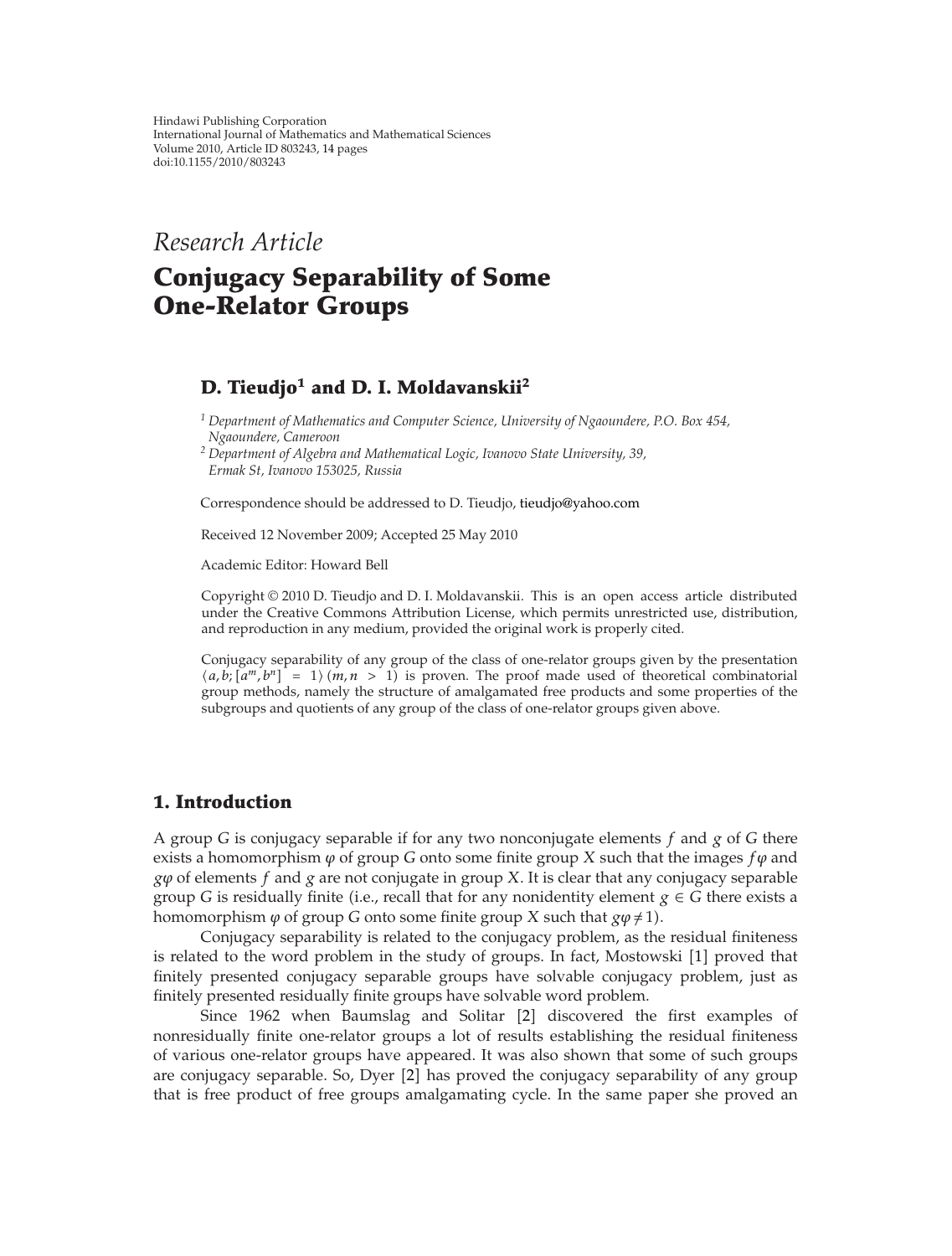Hindawi Publishing Corporation International Journal of Mathematics and Mathematical Sciences Volume 2010, Article ID 803243, 14 pages doi:10.1155/2010/803243

*Research Article*

# **Conjugacy Separability of Some One-Relator Groups**

# **D. Tieudjo<sup>1</sup> and D. I. Moldavanskii2**

*<sup>1</sup> Department of Mathematics and Computer Science, University of Ngaoundere, P.O. Box 454, Ngaoundere, Cameroon*

*<sup>2</sup> Department of Algebra and Mathematical Logic, Ivanovo State University, 39, Ermak St, Ivanovo 153025, Russia*

Correspondence should be addressed to D. Tieudjo, tieudjo@yahoo.com

Received 12 November 2009; Accepted 25 May 2010

Academic Editor: Howard Bell

Copyright © 2010 D. Tieudjo and D. I. Moldavanskii. This is an open access article distributed under the Creative Commons Attribution License, which permits unrestricted use, distribution, and reproduction in any medium, provided the original work is properly cited.

Conjugacy separability of any group of the class of one-relator groups given by the presentation  $\langle a,b; [a^m, b^n] \rangle = 1 \rangle$  (*m, n* > 1) is proven. The proof made used of theoretical combinatorial group methods, namely the structure of amalgamated free products and some properties of the subgroups and quotients of any group of the class of one-relator groups given above.

### **1. Introduction**

A group *G* is conjugacy separable if for any two nonconjugate elements *f* and *g* of *G* there exists a homomorphism  $\varphi$  of group *G* onto some finite group *X* such that the images  $f\varphi$  and *gϕ* of elements *f* and *g* are not conjugate in group *X*. It is clear that any conjugacy separable group *G* is residually finite (i.e., recall that for any nonidentity element  $g \in G$  there exists a homomorphism  $\varphi$  of group *G* onto some finite group *X* such that  $g\varphi \neq 1$ .

Conjugacy separability is related to the conjugacy problem, as the residual finiteness is related to the word problem in the study of groups. In fact, Mostowski [1] proved that finitely presented conjugacy separable groups have solvable conjugacy problem, just as finitely presented residually finite groups have solvable word problem.

Since 1962 when Baumslag and Solitar [2] discovered the first examples of nonresidually finite one-relator groups a lot of results establishing the residual finiteness of various one-relator groups have appeared. It was also shown that some of such groups are conjugacy separable. So, Dyer [2] has proved the conjugacy separability of any group that is free product of free groups amalgamating cycle. In the same paper she proved an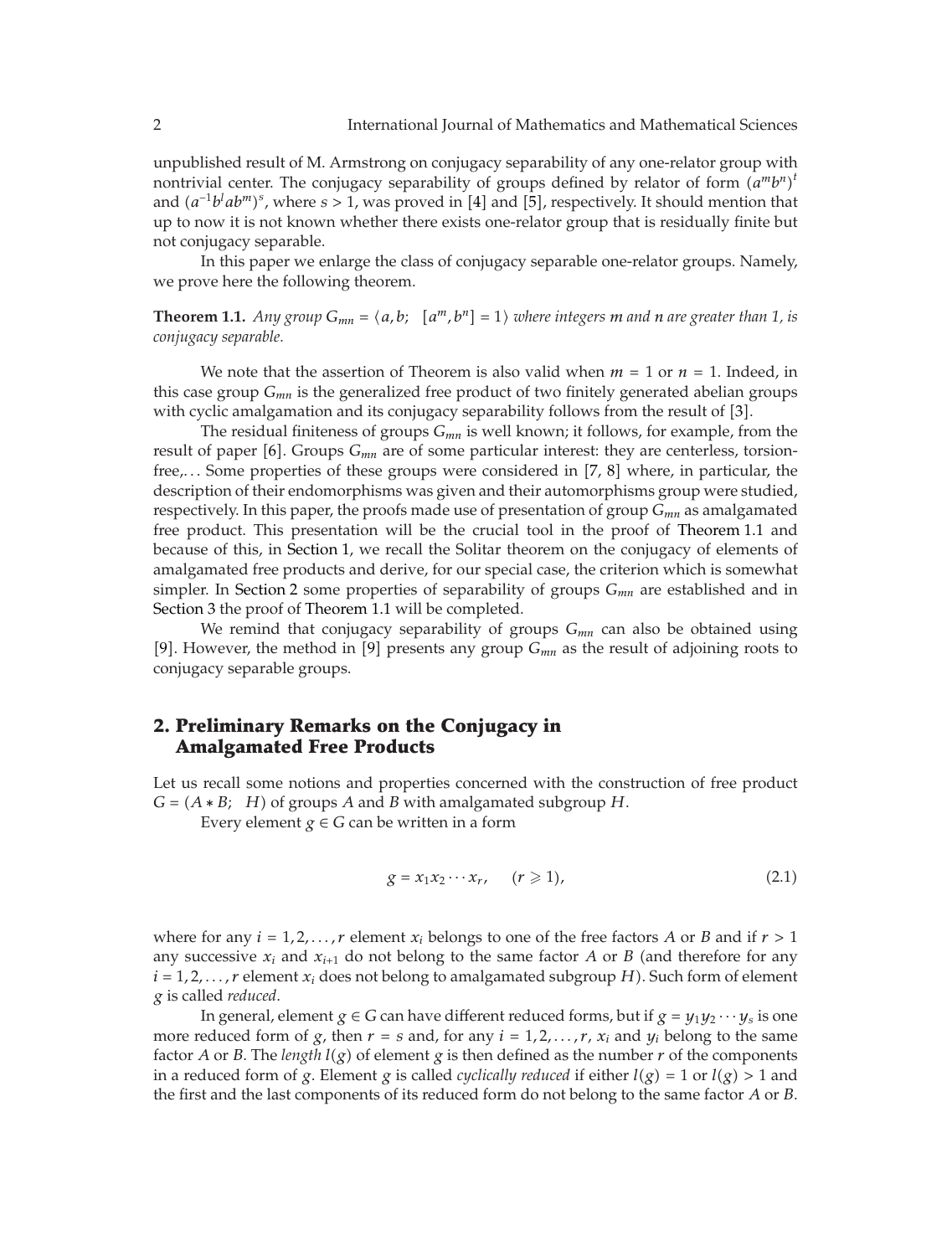unpublished result of M. Armstrong on conjugacy separability of any one-relator group with nontrivial center. The conjugacy separability of groups defined by relator of form  $(a^m b^n)^t$ and  $(a^{-1}b^lab^m)^s$ , where  $s > 1$ , was proved in [4] and [5], respectively. It should mention that up to now it is not known whether there exists one-relator group that is residually finite but not conjugacy separable.

In this paper we enlarge the class of conjugacy separable one-relator groups. Namely, we prove here the following theorem.

**Theorem 1.1.** Any group  $G_{mn} = \langle a, b; [a^m, b^n] = 1 \rangle$  where integers m and n are greater than 1, is *conjugacy separable.*

We note that the assertion of Theorem is also valid when  $m = 1$  or  $n = 1$ . Indeed, in this case group *Gmn* is the generalized free product of two finitely generated abelian groups with cyclic amalgamation and its conjugacy separability follows from the result of [3].

The residual finiteness of groups *Gmn* is well known; it follows, for example, from the result of paper [6]. Groups  $G_{mn}$  are of some particular interest: they are centerless, torsionfree,... Some properties of these groups were considered in [7, 8] where, in particular, the description of their endomorphisms was given and their automorphisms group were studied, respectively. In this paper, the proofs made use of presentation of group *Gmn* as amalgamated free product. This presentation will be the crucial tool in the proof of Theorem 1.1 and because of this, in Section 1, we recall the Solitar theorem on the conjugacy of elements of amalgamated free products and derive, for our special case, the criterion which is somewhat simpler. In Section 2 some properties of separability of groups *Gmn* are established and in Section 3 the proof of Theorem 1.1 will be completed.

We remind that conjugacy separability of groups *Gmn* can also be obtained using [9]. However, the method in [9] presents any group  $G_{mn}$  as the result of adjoining roots to conjugacy separable groups.

# **2. Preliminary Remarks on the Conjugacy in Amalgamated Free Products**

Let us recall some notions and properties concerned with the construction of free product  $G = (A * B; H)$  of groups *A* and *B* with amalgamated subgroup *H*.

Every element  $g \in G$  can be written in a form

$$
g = x_1 x_2 \cdots x_r, \quad (r \geqslant 1), \tag{2.1}
$$

where for any  $i = 1, 2, \ldots, r$  element  $x_i$  belongs to one of the free factors *A* or *B* and if  $r > 1$ any successive  $x_i$  and  $x_{i+1}$  do not belong to the same factor *A* or *B* (and therefore for any  $i = 1, 2, \ldots, r$  element  $x_i$  does not belong to amalgamated subgroup *H*). Such form of element *g* is called *reduced*.

In general, element  $g \in G$  can have different reduced forms, but if  $g = y_1 y_2 \cdots y_s$  is one more reduced form of  $g$ , then  $r = s$  and, for any  $i = 1, 2, \ldots, r$ ,  $x_i$  and  $y_i$  belong to the same factor *A* or *B*. The *length*  $l(g)$  of element *g* is then defined as the number *r* of the components in a reduced form of *g*. Element *g* is called *cyclically reduced* if either  $l(g) = 1$  or  $l(g) > 1$  and the first and the last components of its reduced form do not belong to the same factor *A* or *B*.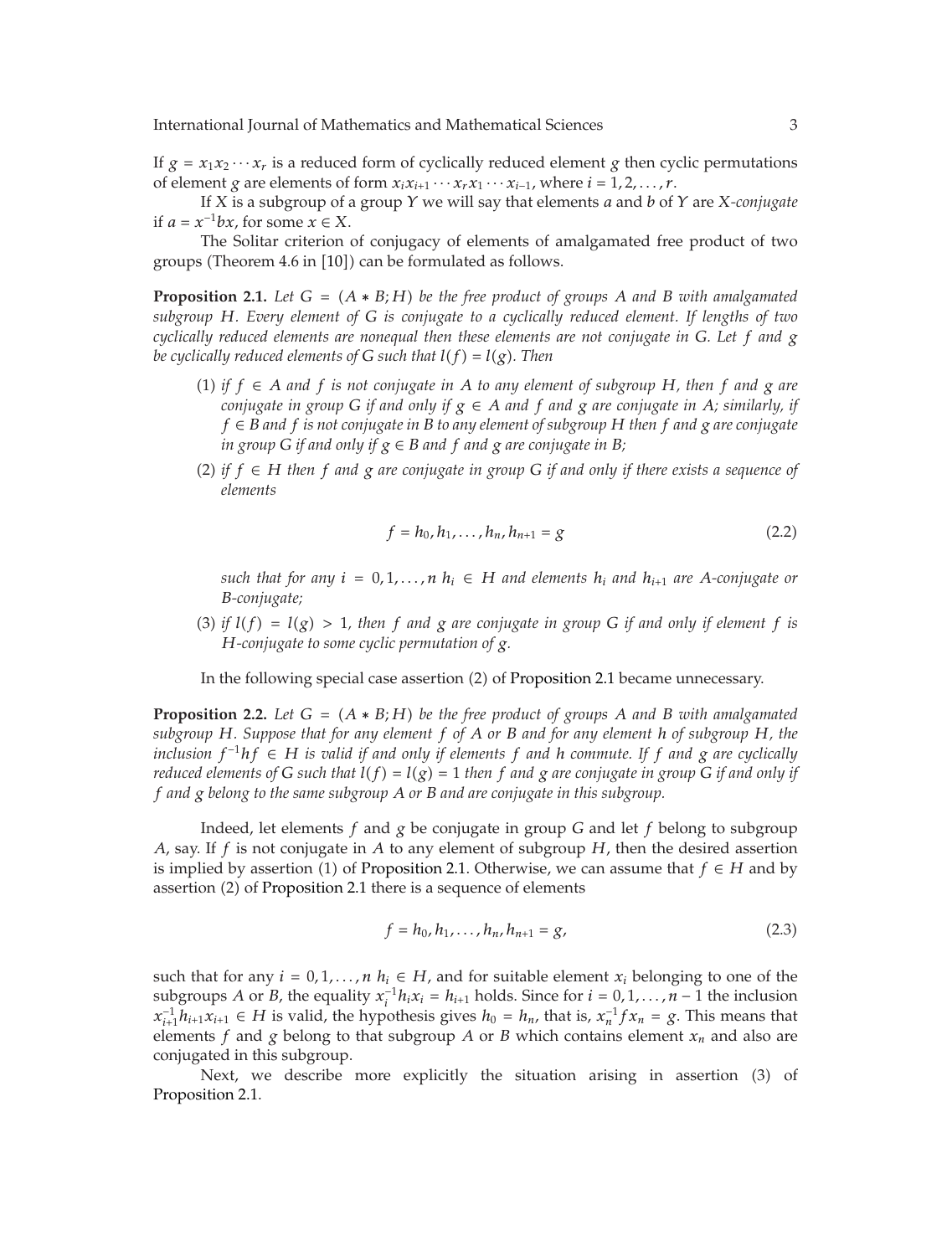If  $g = x_1x_2 \cdots x_r$  is a reduced form of cyclically reduced element *g* then cyclic permutations of element *g* are elements of form  $x_i x_{i+1} \cdots x_r x_1 \cdots x_{i-1}$ , where  $i = 1, 2, \ldots, r$ .

If *X* is a subgroup of a group *Y* we will say that elements *a* and *b* of *Y* are *X-conjugate* if  $a = x^{-1}bx$ , for some  $x \in X$ .

The Solitar criterion of conjugacy of elements of amalgamated free product of two groups (Theorem 4.6 in [10]) can be formulated as follows.

**Proposition 2.1.** *Let*  $G = (A * B; H)$  *be the free product of groups*  $A$  *and*  $B$  *with amalgamated subgroup H. Every element of G is conjugate to a cyclically reduced element. If lengths of two cyclically reduced elements are nonequal then these elements are not conjugate in G. Let f and g be cyclically reduced elements of G such that*  $l(f) = l(g)$ *. Then* 

- 1 *if f* ∈ *A and f is not conjugate in A to any element of subgroup H, then f and g are conjugate in group G if and only if*  $g \in A$  *and*  $f$  *and*  $g$  *are conjugate in*  $A$ *; similarly, if f* ∈ *B and f is not conjugate in B to any element of subgroup H then f and g are conjugate in group G if and only if*  $g \in B$  *and f and*  $g$  *are conjugate in B*;
- 2 *if f* ∈ *H then f and g are conjugate in group G if and only if there exists a sequence of elements*

$$
f = h_0, h_1, \dots, h_n, h_{n+1} = g \tag{2.2}
$$

*such that for any*  $i = 0, 1, \ldots, n$   $h_i \in H$  *and elements*  $h_i$  *and*  $h_{i+1}$  *are A*-conjugate or *B-conjugate;*

(3) if  $l(f) = l(g) > 1$ , then f and g are conjugate in group G if and only if element f is *H-conjugate to some cyclic permutation of g.*

In the following special case assertion (2) of Proposition 2.1 became unnecessary.

**Proposition 2.2.** Let  $G = (A * B; H)$  be the free product of groups A and B with amalgamated *subgroup H. Suppose that for any element f of A or B and for any element h of subgroup H, the inclusion*  $f^{-1}hf \in H$  *is valid if and only if elements f and h commute. If f and g are cyclically reduced elements of G such that*  $l(f) = l(g) = 1$  *then f and g are conjugate in group G if and only if f and g belong to the same subgroup A or B and are conjugate in this subgroup.*

Indeed, let elements *f* and *g* be conjugate in group *G* and let *f* belong to subgroup *A*, say. If *f* is not conjugate in *A* to any element of subgroup *H*, then the desired assertion is implied by assertion (1) of Proposition 2.1. Otherwise, we can assume that  $f \in H$  and by assertion (2) of Proposition 2.1 there is a sequence of elements

$$
f = h_0, h_1, \dots, h_n, h_{n+1} = g,\tag{2.3}
$$

such that for any  $i = 0, 1, \ldots, n$   $h_i \in H$ , and for suitable element  $x_i$  belonging to one of the subgroups *A* or *B*, the equality  $x_i^{-1}h_ix_i = h_{i+1}$  holds. Since for  $i = 0, 1, ..., n - 1$  the inclusion *x*<sup>-1</sup><sub>*i*+1</sub> $h$ <sub>*i*+1</sub> $x$ <sub>*i*+1</sub> ∈ *H* is valid, the hypothesis gives  $h_0 = h_n$ , that is,  $x_n^{-1} f x_n = g$ . This means that elements  $f$  and  $g$  belong to that subgroup  $A$  or  $B$  which contains element  $x_n$  and also are conjugated in this subgroup.

Next, we describe more explicitly the situation arising in assertion (3) of Proposition 2.1.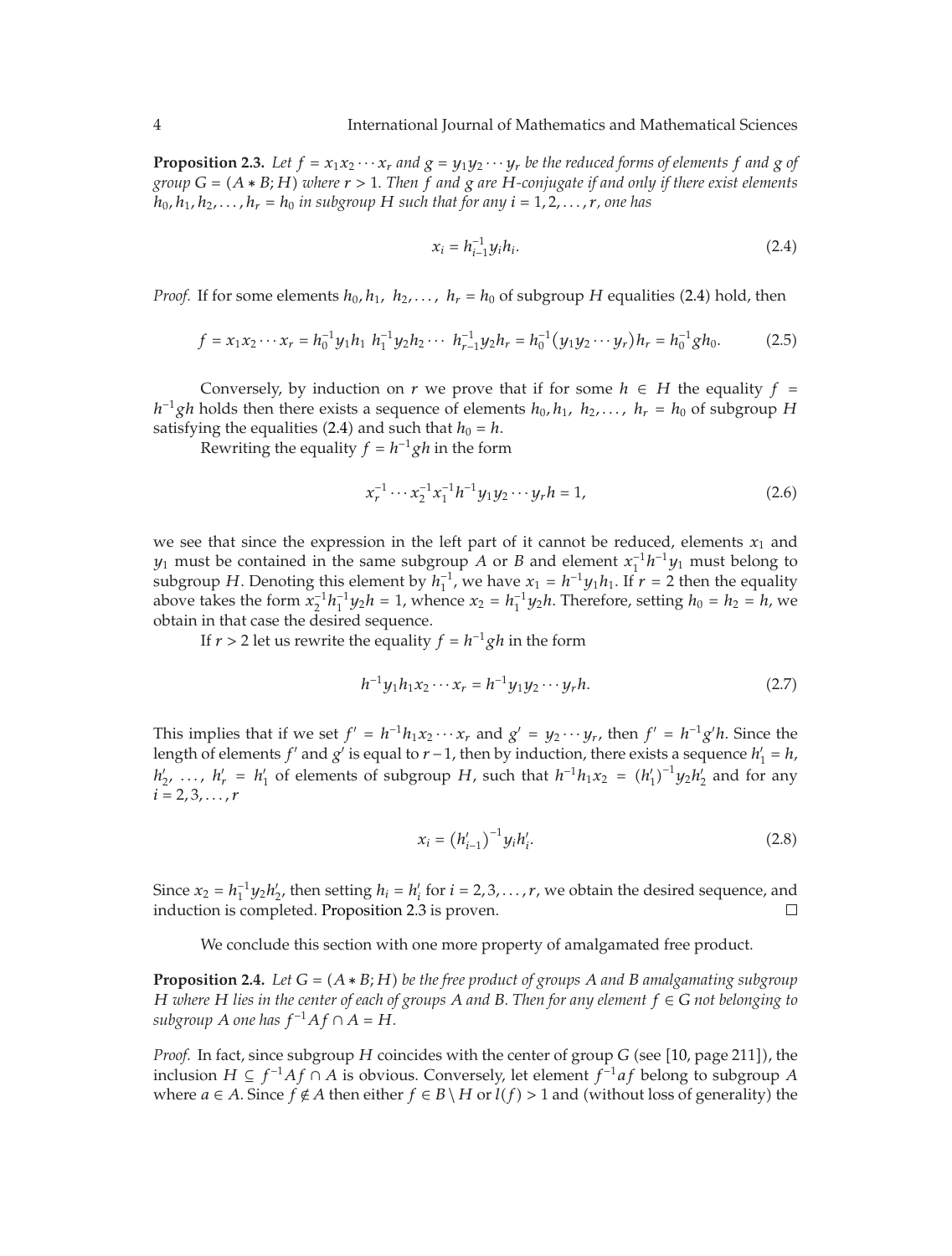**Proposition 2.3.** Let  $f = x_1x_2 \cdots x_r$  and  $g = y_1y_2 \cdots y_r$  be the reduced forms of elements  $f$  and  $g$  of *group*  $G = (A * B; H)$  *where*  $r > 1$ *. Then*  $f$  *and*  $g$  *are*  $H$ *-conjugate if and only if there exist elements*  $h_0, h_1, h_2, \ldots, h_r = h_0$  *in subgroup H such that for any*  $i = 1, 2, \ldots, r$ *, one has* 

$$
x_i = h_{i-1}^{-1} y_i h_i.
$$
 (2.4)

*Proof.* If for some elements  $h_0, h_1, h_2, \ldots, h_r = h_0$  of subgroup *H* equalities (2.4) hold, then

$$
f = x_1 x_2 \cdots x_r = h_0^{-1} y_1 h_1 h_1^{-1} y_2 h_2 \cdots h_{r-1}^{-1} y_2 h_r = h_0^{-1} (y_1 y_2 \cdots y_r) h_r = h_0^{-1} g h_0.
$$
 (2.5)

Conversely, by induction on *r* we prove that if for some  $h \in H$  the equality  $f =$ *h*<sup>−1</sup>*gh* holds then there exists a sequence of elements  $h_0, h_1, h_2, ..., h_r = h_0$  of subgroup *H* satisfying the equalities (2.4) and such that  $h_0 = h$ .

Rewriting the equality  $f = h^{-1}gh$  in the form

$$
x_r^{-1} \cdots x_2^{-1} x_1^{-1} h^{-1} y_1 y_2 \cdots y_r h = 1,
$$
\n(2.6)

we see that since the expression in the left part of it cannot be reduced, elements  $x_1$  and *y*<sub>1</sub> must be contained in the same subgroup *A* or *B* and element  $x_1^{-1}h^{-1}y_1$  must belong to subgroup *H*. Denoting this element by  $h_1^{-1}$ , we have  $x_1 = h^{-1}y_1h_1$ . If  $r = 2$  then the equality above takes the form  $x_2^{-1}h_1^{-1}y_2h = 1$ , whence  $x_2 = h_1^{-1}y_2h$ . Therefore, setting  $h_0 = h_2 = h$ , we obtain in that case the desired sequence.

If  $r > 2$  let us rewrite the equality  $f = h^{-1}gh$  in the form

$$
h^{-1}y_1h_1x_2\cdots x_r = h^{-1}y_1y_2\cdots y_rh. \tag{2.7}
$$

This implies that if we set  $f' = h^{-1}h_1x_2 \cdots x_r$  and  $g' = y_2 \cdots y_r$ , then  $f' = h^{-1}g'h$ . Since the length of elements *f'* and *g'* is equal to *r* − 1, then by induction, there exists a sequence  $h'_1 = h$ ,  $h'_2$ , ...,  $h'_r = h'_1$  of elements of subgroup *H*, such that  $h^{-1}h_1x_2 = (h'_1)^{-1}y_2h'_2$  and for any  $i = 2, 3, \ldots, r$ 

$$
x_i = (h'_{i-1})^{-1} y_i h'_i.
$$
 (2.8)

Since  $x_2 = h_1^{-1}y_2h'_2$ , then setting  $h_i = h'_i$  for  $i = 2, 3, ..., r$ , we obtain the desired sequence, and induction is completed. Proposition 2.3 is proven.

We conclude this section with one more property of amalgamated free product.

**Proposition 2.4.** *Let*  $G = (A * B; H)$  *be the free product of groups*  $A$  *and*  $B$  *amalgamating subgroup H where H lies in the center of each of groups A and B. Then for any element f* ∈ *G not belonging to subgroup A one* has  $f^{-1}Af \cap A = H$ .

*Proof.* In fact, since subgroup  $H$  coincides with the center of group  $G$  (see  $[10,$  page 211]), the inclusion *H* ⊆ *f*−<sup>1</sup>*Af* ∩ *A* is obvious. Conversely, let element *f*−<sup>1</sup>*af* belong to subgroup *A* where  $a \in A$ . Since  $f \notin A$  then either  $f \in B \setminus H$  or  $l(f) > 1$  and (without loss of generality) the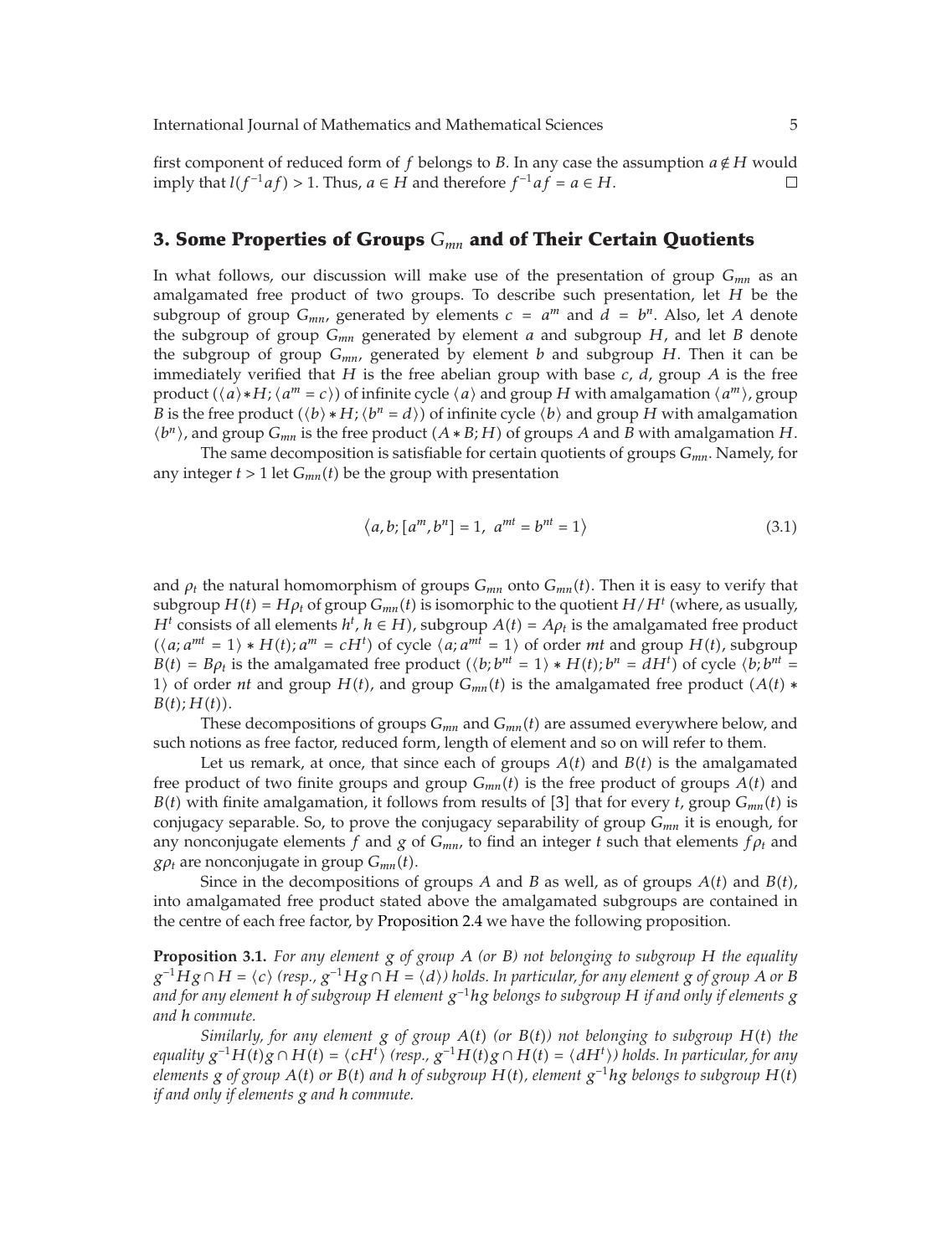first component of reduced form of *f* belongs to *B*. In any case the assumption  $a \notin H$  would imply that  $l(f^{-1}af) > 1$ . Thus,  $a \in H$  and therefore  $f^{-1}af = a \in H$ . imply that *l*( $f^{-1}af$ ) > 1. Thus, *a* ∈ *H* and therefore  $f^{-1}af = a ∈ H$ .

#### **3. Some Properties of Groups** *Gmn* **and of Their Certain Quotients**

In what follows, our discussion will make use of the presentation of group *Gmn* as an amalgamated free product of two groups. To describe such presentation, let *H* be the subgroup of group  $G_{mn}$ , generated by elements  $c = a^m$  and  $d = b^n$ . Also, let A denote the subgroup of group *Gmn* generated by element *a* and subgroup *H*, and let *B* denote the subgroup of group  $G_{mn}$ , generated by element *b* and subgroup *H*. Then it can be immediately verified that *H* is the free abelian group with base *c*, *d*, group *A* is the free product  $(\langle a \rangle * H; \langle a^m = c \rangle)$  of infinite cycle  $\langle a \rangle$  and group *H* with amalgamation  $\langle a^m \rangle$ , group *B* is the free product  $(\langle b \rangle * H; \langle b^n = d \rangle)$  of infinite cycle  $\langle b \rangle$  and group *H* with amalgamation  $\langle b^n \rangle$ , and group  $G_{mn}$  is the free product  $(A * B; H)$  of groups *A* and *B* with amalgamation *H*.

The same decomposition is satisfiable for certain quotients of groups *Gmn*. Namely, for any integer  $t > 1$  let  $G_{mn}(t)$  be the group with presentation

$$
\langle a,b; [a^m, b^n] = 1, a^{mt} = b^{nt} = 1 \rangle \tag{3.1}
$$

and  $\rho_t$  the natural homomorphism of groups  $G_{mn}$  onto  $G_{mn}(t)$ . Then it is easy to verify that subgroup  $H(t) = H\rho_t$  of group  $G_{mn}(t)$  is isomorphic to the quotient  $H/H^t$  (where, as usually, *H*<sup>*t*</sup> consists of all elements *h<sup>t</sup>*, *h* ∈ *H*), subgroup *A*(*t*) = *A* $\rho$ <sub>*t*</sub> is the amalgamated free product  $(\langle a; a^{mt} = 1 \rangle * H(t); a^m = cH^t$  of cycle  $\langle a; a^{mt} = 1 \rangle$  of order *mt* and group *H*(*t*), subgroup  $B(t) = B\rho_t$  is the amalgamated free product  $(\langle b; b^{nt} = 1 \rangle * H(t); b^n = dH^t)$  of cycle  $\langle b; b^{nt} = 0 \rangle$ 1) of order *nt* and group *H*(*t*), and group  $G_{mn}(t)$  is the amalgamated free product  $(A(t) *$  $B(t)$ ;  $H(t)$ ).

These decompositions of groups  $G_{mn}$  and  $G_{mn}(t)$  are assumed everywhere below, and such notions as free factor, reduced form, length of element and so on will refer to them.

Let us remark, at once, that since each of groups  $A(t)$  and  $B(t)$  is the amalgamated free product of two finite groups and group  $G_{mn}(t)$  is the free product of groups  $A(t)$  and *B*(*t*) with finite amalgamation, it follows from results of [3] that for every *t*, group  $G_{mn}(t)$  is conjugacy separable. So, to prove the conjugacy separability of group *Gmn* it is enough, for any nonconjugate elements *f* and *g* of  $G_{mn}$ , to find an integer *t* such that elements  $f \rho_t$  and *g* $\rho_t$  are nonconjugate in group  $G_{mn}(t)$ .

Since in the decompositions of groups *A* and *B* as well, as of groups  $A(t)$  and  $B(t)$ , into amalgamated free product stated above the amalgamated subgroups are contained in the centre of each free factor, by Proposition 2.4 we have the following proposition.

**Proposition 3.1.** *For any element g of group A (or B) not belonging to subgroup H the equality g*<sup>−1</sup>*Hg* ∩ *H* =  $\langle c \rangle$  (resp.,  $g^{-1}Hg \cap H = \langle d \rangle$ ) holds. In particular, for any element g of group A or B *and for any element h of subgroup H element g*−<sup>1</sup>*hg belongs to subgroup H if and only if elements g and h commute.*

*Similarly, for any element*  $g$  *of group*  $A(t)$  *(or*  $B(t)$ *) not belonging to subgroup*  $H(t)$  *the equality*  $g^{-1}H(t)g ∩ H(t) = \langle cH^t \rangle$  (resp.,  $g^{-1}H(t)g ∩ H(t) = \langle dH^t \rangle$ ) holds. In particular, for any *elements g of group*  $A(t)$  *or*  $B(t)$  *and h of subgroup*  $H(t)$ *, element*  $g^{-1}hg$  *belongs to subgroup*  $H(t)$ *if and only if elements g and h commute.*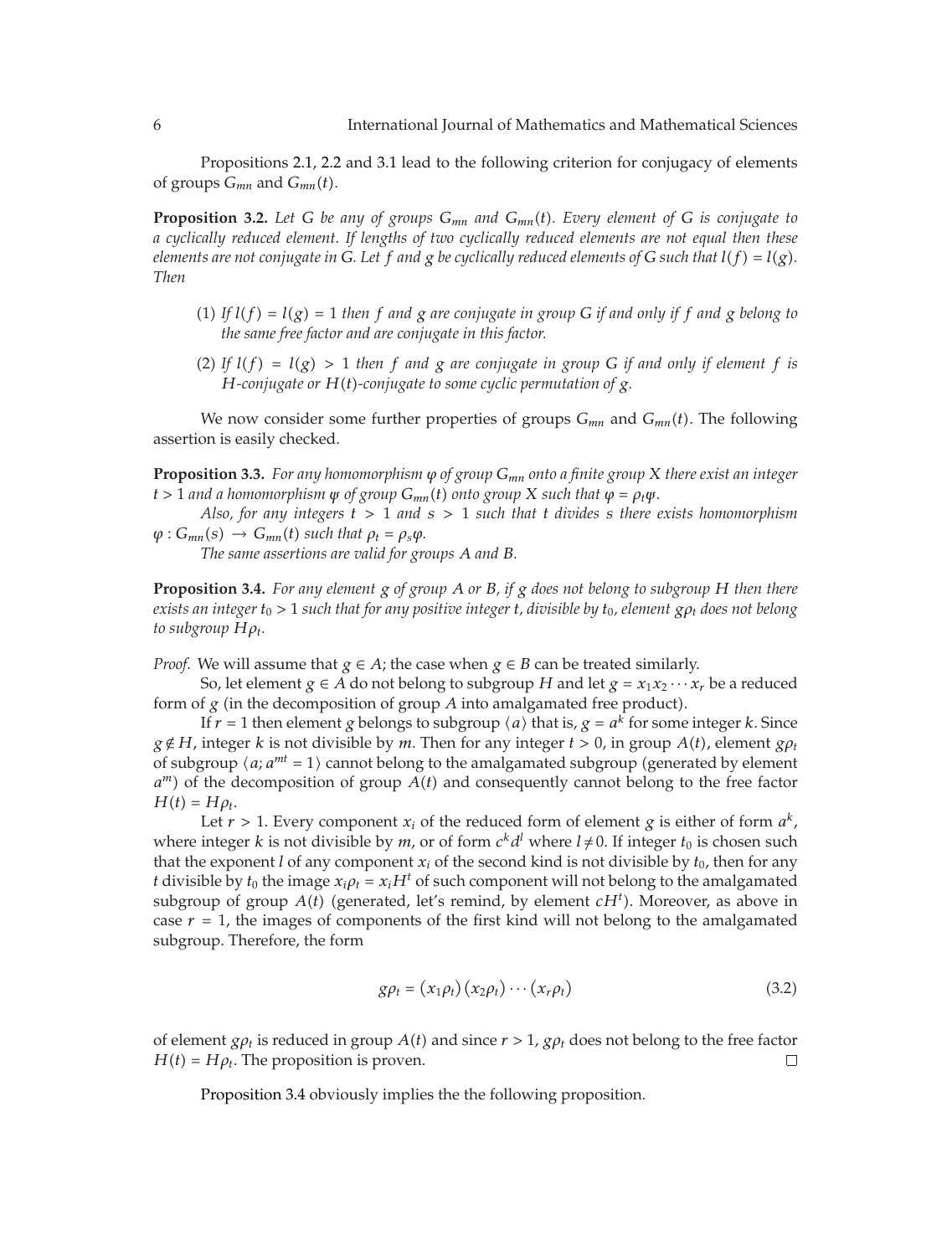Propositions 2.1, 2.2 and 3.1 lead to the following criterion for conjugacy of elements of groups *Gmn* and *Gmnt*.

**Proposition 3.2.** *Let G be any of groups Gmn and Gmnt. Every element of G is conjugate to a cyclically reduced element. If lengths of two cyclically reduced elements are not equal then these elements are not conjugate in G. Let f and g be cyclically reduced elements of G such that*  $l(f) = l(g)$ *. Then*

- (1) If  $l(f) = l(g) = 1$  then f and g are conjugate in group G if and only if f and g belong to *the same free factor and are conjugate in this factor.*
- (2) If  $l(f) = l(g) > 1$  then f and g are conjugate in group G if and only if element f is *H-conjugate or Ht-conjugate to some cyclic permutation of g.*

We now consider some further properties of groups  $G_{mn}$  and  $G_{mn}(t)$ . The following assertion is easily checked.

**Proposition 3.3.** *For any homomorphism ϕ of group Gmn onto a finite group X there exist an integer*  $t > 1$  *and a homomorphism*  $\psi$  *of group*  $G_{mn}(t)$  *onto group*  $X$  *such that*  $\varphi = \rho_t \psi$ *.* 

*Also, for any integers t >* 1 *and s >* 1 *such that t divides s there exists homomorphism*  $\varphi$  :  $G_{mn}(s) \rightarrow G_{mn}(t)$  *such that*  $\rho_t = \rho_s \varphi$ *.* 

*The same assertions are valid for groups A and B.*

**Proposition 3.4.** *For any element g of group A or B, if g does not belong to subgroup H then there exists an integer*  $t_0 > 1$  *such that for any positive integer t, divisible by*  $t_0$ *, element*  $g \rho_t$  *does not belong to subgroup*  $H\rho_t$ *.* 

*Proof.* We will assume that  $g \in A$ ; the case when  $g \in B$  can be treated similarly.

So, let element *g*  $\in$  *A* do not belong to subgroup *H* and let *g* =  $x_1x_2 \cdots x_r$  be a reduced form of  $g$  (in the decomposition of group  $A$  into amalgamated free product).

If  $r = 1$  then element *g* belongs to subgroup  $\langle a \rangle$  that is,  $g = a^k$  for some integer *k*. Since  $g \notin H$ , integer *k* is not divisible by *m*. Then for any integer  $t > 0$ , in group  $A(t)$ , element  $g \rho_t$ of subgroup  $\langle a; a^{mt} = 1 \rangle$  cannot belong to the amalgamated subgroup (generated by element  $a^m$ ) of the decomposition of group  $A(t)$  and consequently cannot belong to the free factor  $H(t) = H\rho_t$ .

Let  $r > 1$ . Every component  $x_i$  of the reduced form of element  $g$  is either of form  $a^k$ , where integer *k* is not divisible by *m*, or of form  $c^k d^l$  where  $l \neq 0$ . If integer  $t_0$  is chosen such that the exponent *l* of any component  $x_i$  of the second kind is not divisible by  $t_0$ , then for any *t* divisible by  $t_0$  the image  $x_i \rho_t = x_i H^t$  of such component will not belong to the amalgamated subgroup of group  $A(t)$  (generated, let's remind, by element  $cH<sup>t</sup>$ ). Moreover, as above in case  $r = 1$ , the images of components of the first kind will not belong to the amalgamated subgroup. Therefore, the form

$$
g\rho_t = (x_1\rho_t)(x_2\rho_t)\cdots(x_r\rho_t)
$$
\n(3.2)

of element  $g_{\rho t}$  is reduced in group  $A(t)$  and since  $r > 1$ ,  $g_{\rho t}$  does not belong to the free factor  $H(t) = H\rho_t$ . The proposition is proven.  $\Box$ 

Proposition 3.4 obviously implies the the following proposition.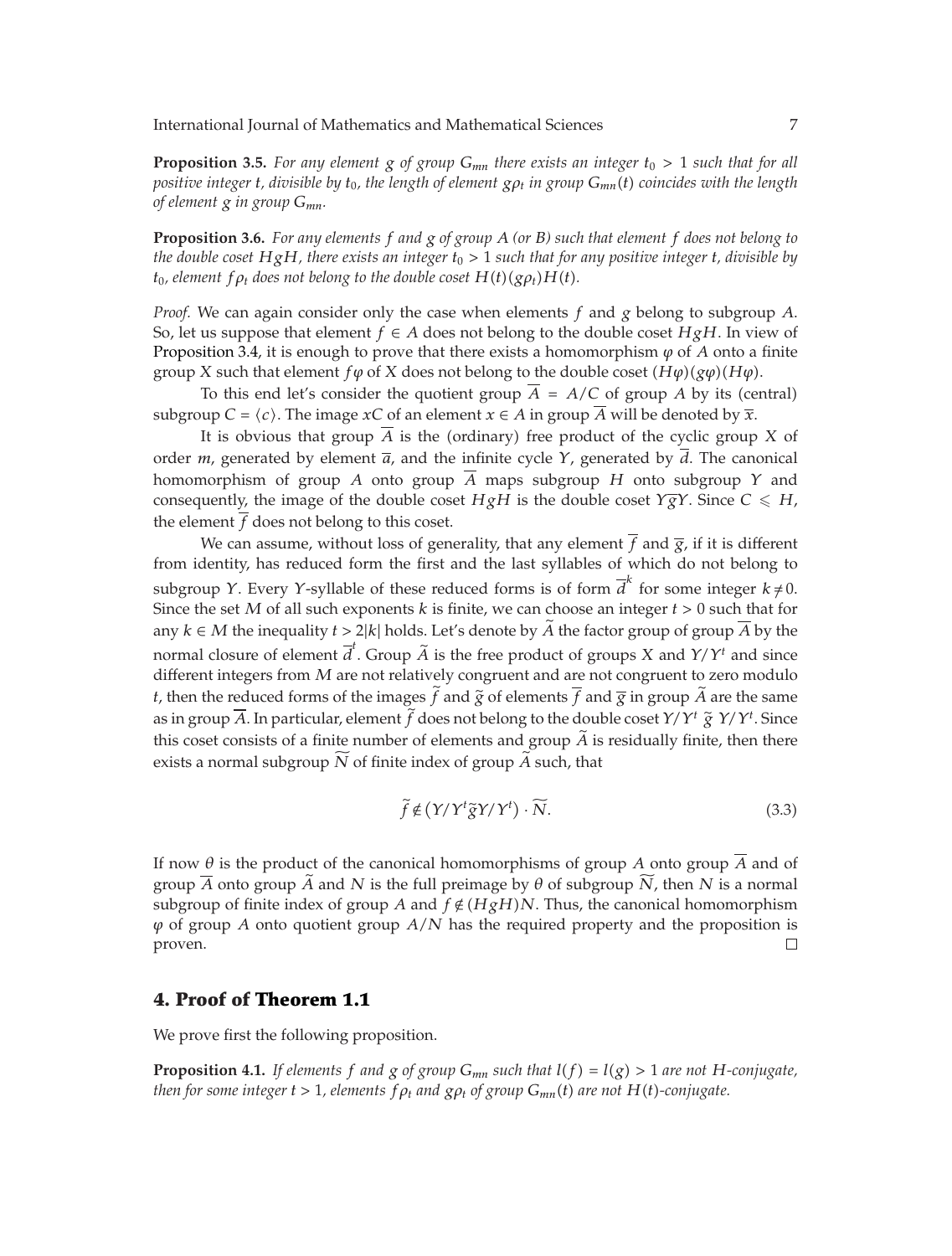**Proposition 3.5.** For any element  $g$  of group  $G_{mn}$  there exists an integer  $t_0 > 1$  such that for all *positive integer t, divisible by t*0*, the length of element gρt in group Gmnt coincides with the length of element g in group Gmn.*

**Proposition 3.6.** *For any elements f and g of group A (or B) such that element f does not belong to the double coset HgH, there exists an integer t*<sup>0</sup> *>* 1 *such that for any positive integer t, divisible by t*<sub>0</sub>*, element*  $f \rho_t$  *does not belong to the double coset*  $H(t)(g \rho_t)H(t)$ *.* 

*Proof.* We can again consider only the case when elements *f* and *g* belong to subgroup *A*. So, let us suppose that element  $f \in A$  does not belong to the double coset  $HgH$ . In view of Proposition 3.4, it is enough to prove that there exists a homomorphism  $\varphi$  of  $A$  onto a finite group *X* such that element *f* $\varphi$  of *X* does not belong to the double coset  $(H\varphi)(g\varphi)(H\varphi)$ .

To this end let's consider the quotient group  $A = A/C$  of group A by its (central) subgroup *C* =  $\langle c \rangle$ . The image *x*C of an element *x*  $\in$  *A* in group *A* will be denoted by  $\overline{x}$ .

It is obvious that group  $A$  is the (ordinary) free product of the cyclic group  $X$  of order *m*, generated by element  $\overline{a}$ , and the infinite cycle  $\gamma$ , generated by *d*. The canonical homomorphism of group *A* onto group  $\overline{A}$  maps subgroup *H* onto subgroup *Y* and consequently, the image of the double coset *HgH* is the double coset *Y*<sub>g</sub>*Y*. Since *C*  $\leq$  *H*, the element *f* does not belong to this coset.

We can assume, without loss of generality, that any element  $f$  and  $\overline{g}$ , if it is different from identity, has reduced form the first and the last syllables of which do not belong to subgroup *Y*. Every *Y*-syllable of these reduced forms is of form  $\overline{d}^k$  for some integer  $k \neq 0$ . Since the set *M* of all such exponents *k* is finite, we can choose an integer *t >* 0 such that for any  $k ∈ M$  the inequality  $t > 2|k|$  holds. Let's denote by  $\overline{A}$  the factor group of group  $A$  by the normal closure of element  $\overline{d}^t$ . Group  $\widetilde{A}$  is the free product of groups *X* and *Y/Y<sup><i>t*</sup> and since different integers from *M* are not relatively congruent and are not congruent to zero modulo *t*, then the reduced forms of the images  $\tilde{f}$  and  $\tilde{g}$  of elements  $\overline{f}$  and  $\overline{g}$  in group  $\tilde{A}$  are the same as in group  $\overline{A}$ . In particular, element  $\overline{f}$  does not belong to the double coset  $Y/Y^t \widetilde{g} Y/Y^t$ . Since this coset consists of a finite number of elements and group *<sup>A</sup>* is residually finite, then there exists a normal subgroup  $N$  of finite index of group  $A$  such, that

$$
\tilde{f} \notin (Y/Y^t \tilde{g}Y/Y^t) \cdot \widetilde{N}.
$$
\n(3.3)

If now *θ* is the product of the canonical homomorphisms of group *A* onto group *A* and of group *<sup>A</sup>* onto group *<sup>A</sup>* and *<sup>N</sup>* is the full preimage by *<sup>θ</sup>* of subgroup *<sup>N</sup>* , then *<sup>N</sup>* is a normal subgroup of finite index of group *A* and  $f \notin (HgH)N$ . Thus, the canonical homomorphism *ϕ* of group *A* onto quotient group *A/N* has the required property and the proposition is proven.  $\Box$ 

#### **4. Proof of Theorem 1.1**

We prove first the following proposition.

**Proposition 4.1.** *If elements*  $f$  *and*  $g$  *of group*  $G_{mn}$  *such that*  $l(f) = l(g) > 1$  *are not*  $H$ *-conjugate, then for some integer*  $t > 1$ *, elements*  $f \rho_t$  *and*  $g \rho_t$  *of group*  $G_{mn}(t)$  *are not*  $H(t)$ -conjugate.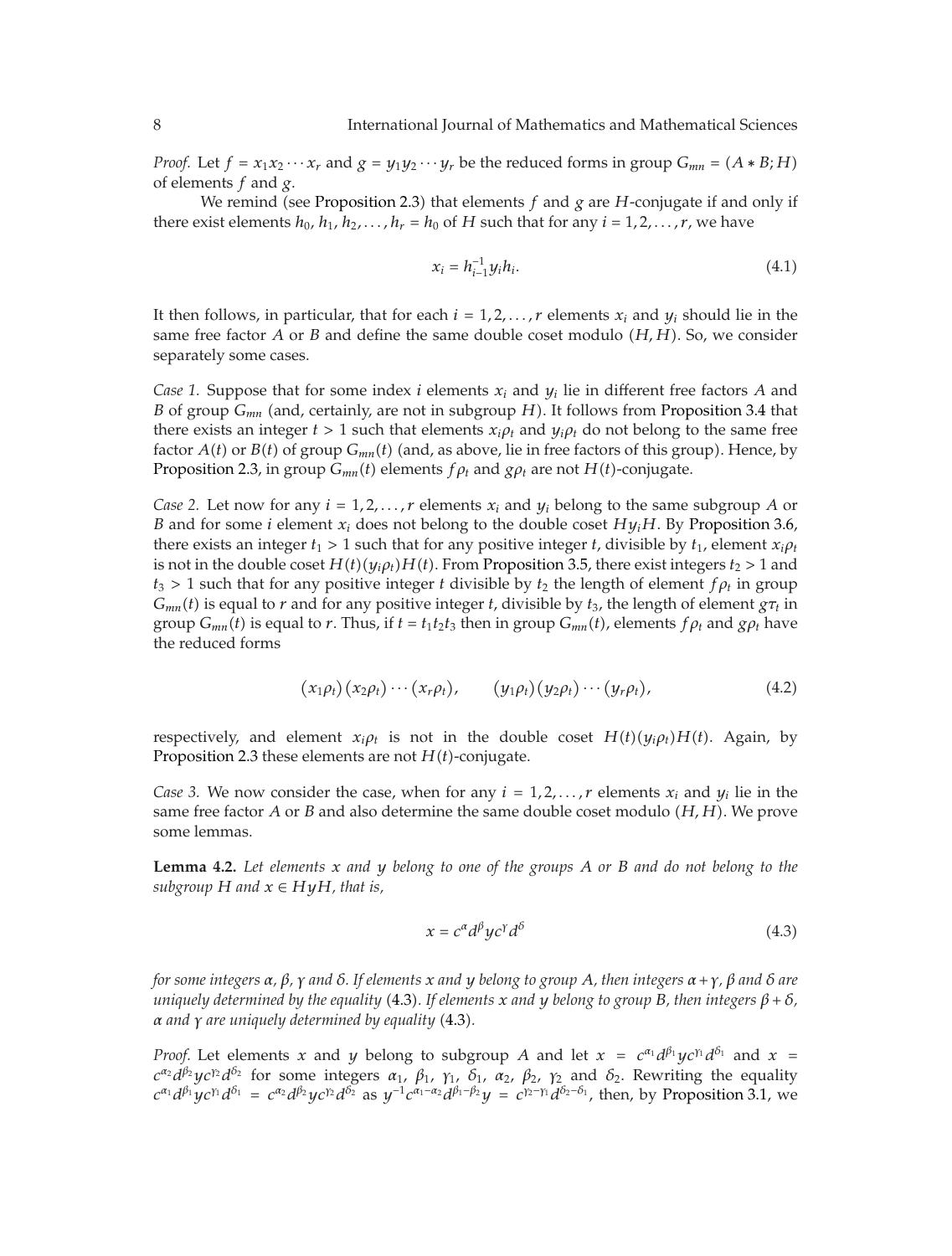*Proof.* Let  $f = x_1 x_2 \cdots x_r$  and  $g = y_1 y_2 \cdots y_r$  be the reduced forms in group  $G_{mn} = (A * B; H)$ of elements *f* and *g*.

We remind (see Proposition 2.3) that elements  $f$  and  $g$  are  $H$ -conjugate if and only if there exist elements  $h_0$ ,  $h_1$ ,  $h_2$ ,..., $h_r = h_0$  of *H* such that for any  $i = 1, 2, ..., r$ , we have

$$
x_i = h_{i-1}^{-1} y_i h_i.
$$
 (4.1)

It then follows, in particular, that for each  $i = 1, 2, \ldots, r$  elements  $x_i$  and  $y_i$  should lie in the same free factor *A* or *B* and define the same double coset modulo *H, H*. So, we consider separately some cases.

*Case 1.* Suppose that for some index *i* elements *xi* and *yi* lie in different free factors *A* and *B* of group *G<sub>mn</sub>* (and, certainly, are not in subgroup *H*). It follows from Proposition 3.4 that there exists an integer  $t > 1$  such that elements  $x_i \rho_t$  and  $y_i \rho_t$  do not belong to the same free factor  $A(t)$  or  $B(t)$  of group  $G_{mn}(t)$  (and, as above, lie in free factors of this group). Hence, by Proposition 2.3, in group  $G_{mn}(t)$  elements  $f \rho_t$  and  $g \rho_t$  are not  $H(t)$ -conjugate.

*Case 2.* Let now for any  $i = 1, 2, ..., r$  elements  $x_i$  and  $y_i$  belong to the same subgroup A or *B* and for some *i* element  $x_i$  does not belong to the double coset  $Hy_iH$ . By Proposition 3.6, there exists an integer  $t_1 > 1$  such that for any positive integer *t*, divisible by  $t_1$ , element  $x_i \rho_t$ is not in the double coset  $H(t)(y_i \rho_t)H(t)$ . From Proposition 3.5, there exist integers  $t_2 > 1$  and  $t_3 > 1$  such that for any positive integer *t* divisible by  $t_2$  the length of element  $f \rho_t$  in group  $G_{mn}(t)$  is equal to *r* and for any positive integer *t*, divisible by  $t_3$ , the length of element  $g\tau_t$  in group  $G_{mn}(t)$  is equal to *r*. Thus, if  $t = t_1t_2t_3$  then in group  $G_{mn}(t)$ , elements  $f \rho_t$  and  $g \rho_t$  have the reduced forms

$$
(x_1\rho_t)(x_2\rho_t)\cdots(x_r\rho_t), \qquad (y_1\rho_t)(y_2\rho_t)\cdots(y_r\rho_t), \qquad (4.2)
$$

respectively, and element  $x_i \rho_t$  is not in the double coset  $H(t)(y_i \rho_t)H(t)$ . Again, by Proposition 2.3 these elements are not  $H(t)$ -conjugate.

*Case 3.* We now consider the case, when for any  $i = 1, 2, \ldots, r$  elements  $x_i$  and  $y_i$  lie in the same free factor *A* or *B* and also determine the same double coset modulo *H, H*. We prove some lemmas.

**Lemma 4.2.** *Let elements x and y belong to one of the groups A or B and do not belong to the subgroup*  $H$  *and*  $x \in HyH$ *, that is,* 

$$
x = c^{\alpha} d^{\beta} y c^{\gamma} d^{\delta} \tag{4.3}
$$

for some integers  $\alpha$ ,  $\beta$ ,  $\gamma$  and  $\delta$ . If elements x and y belong to group A, then integers  $\alpha + \gamma$ ,  $\beta$  and  $\delta$  are *uniquely determined by the equality* 4.3*. If elements x and y belong to group B, then integers β δ, α and γ are uniquely determined by equality* 4.3*.*

*Proof.* Let elements *x* and *y* belong to subgroup *A* and let  $x = c^{\alpha_1}d^{\beta_1}yc^{\gamma_1}d^{\delta_1}$  and  $x =$ *c*<sup>α</sup><sup>2</sup>*d*<sup>*β*<sub>2</sub>*yc*<sup>*γ*</sup>2*d*<sup>*δ*<sub>2</sub></sup> for some integers *α*<sub>1</sub>, *β*<sub>1</sub>, *γ*<sub>1</sub>, *δ*<sub>1</sub>, *α*<sub>2</sub>, *β*<sub>2</sub>, *γ*<sub>2</sub> and *δ*<sub>2</sub>. Rewriting the equality</sup>  $c^{\alpha_1}d^{\beta_1}yc^{\gamma_1}d^{\delta_1} = c^{\alpha_2}d^{\beta_2}yc^{\gamma_2}d^{\delta_2}$  as  $y^{-1}c^{\alpha_1-\alpha_2}d^{\beta_1-\beta_2}y = c^{\gamma_2-\gamma_1}d^{\delta_2-\delta_1}$ , then, by Proposition 3.1, we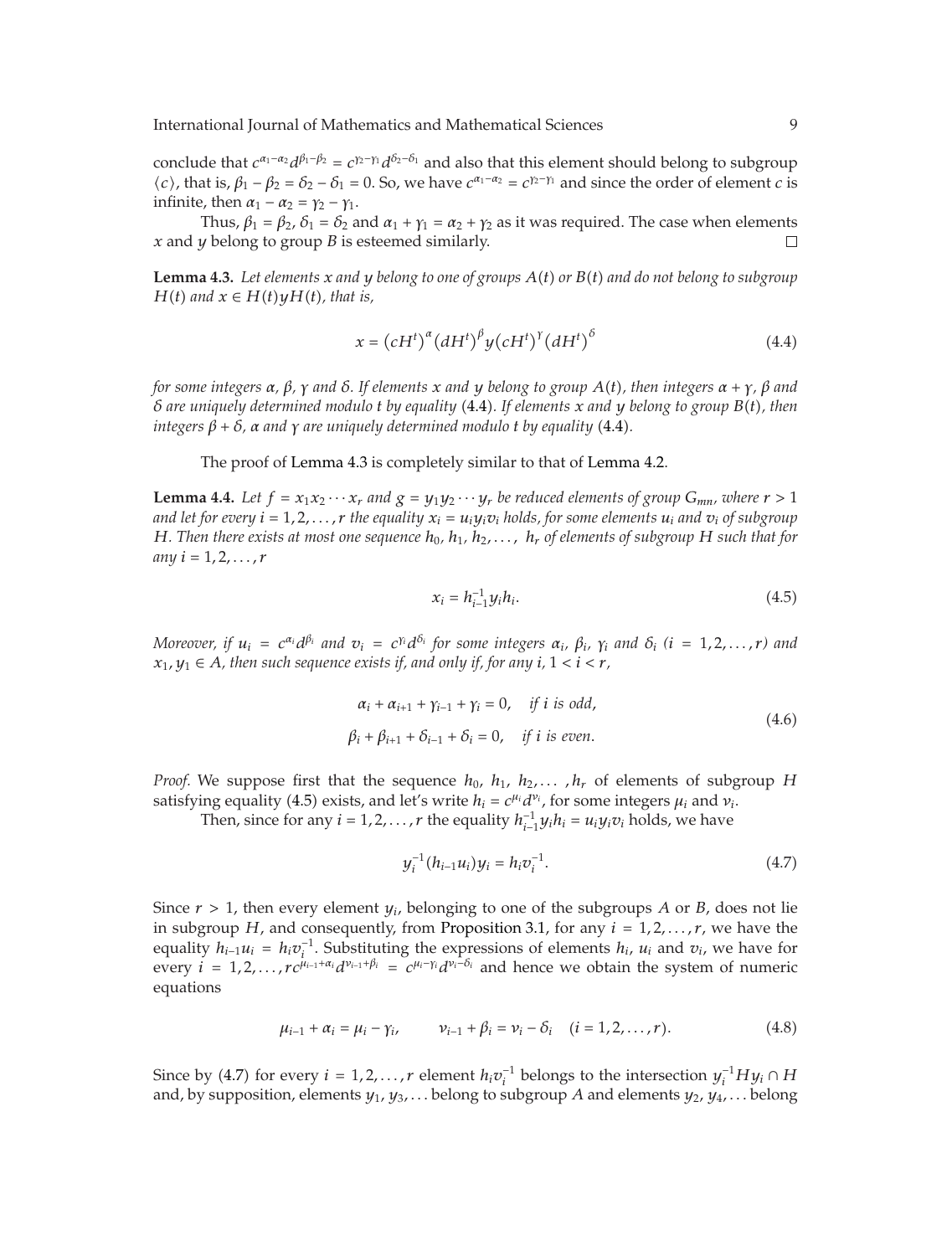International Journal of Mathematics and Mathematical Sciences 9

conclude that  $c^{a_1-a_2}d^{\beta_1-\beta_2} = c^{\gamma_2-\gamma_1}d^{\delta_2-\delta_1}$  and also that this element should belong to subgroup  $\langle c \rangle$ , that is,  $\beta_1 - \beta_2 = \delta_2 - \delta_1 = 0$ . So, we have  $c^{\alpha_1 - \alpha_2} = c^{\gamma_2 - \gamma_1}$  and since the order of element *c* is infinite, then  $\alpha_1 - \alpha_2 = \gamma_2 - \gamma_1$ .

Thus,  $\beta_1 = \beta_2$ ,  $\delta_1 = \delta_2$  and  $\alpha_1 + \gamma_1 = \alpha_2 + \gamma_2$  as it was required. The case when elements *x* and *y* belong to group *B* is esteemed similarly.  $\Box$ 

**Lemma 4.3.** Let elements  $x$  and  $y$  belong to one of groups  $A(t)$  or  $B(t)$  and do not belong to subgroup *H*(*t*) and  $x \in H(t)yH(t)$ , that is,

$$
x = (cHt)\alpha (dHt)\beta y (cHt)\gamma (dHt)\delta
$$
 (4.4)

for some integers  $\alpha$ ,  $\beta$ ,  $\gamma$  and  $\delta$ . If elements x and y belong to group  $A(t)$ , then integers  $\alpha + \gamma$ ,  $\beta$  and *δ are uniquely determined modulo t by equality* 4.4*. If elements x and y belong to group Bt, then integers*  $\beta + \delta$ ,  $\alpha$  *and*  $\gamma$  *are uniquely determined modulo t by equality* (4.4).

The proof of Lemma 4.3 is completely similar to that of Lemma 4.2.

**Lemma 4.4.** Let  $f = x_1x_2 \cdots x_r$  and  $g = y_1y_2 \cdots y_r$  be reduced elements of group  $G_{mn}$ , where  $r > 1$ *and let for every*  $i = 1, 2, \ldots, r$  *the equality*  $x_i = u_i y_i v_i$  *holds, for some elements*  $u_i$  *and*  $v_i$  *of subgroup H*. Then there exists at most one sequence  $h_0$ ,  $h_1$ ,  $h_2$ ,...,  $h_r$  of elements of subgroup H such that for  $any i = 1, 2, ..., r$ 

$$
x_i = h_{i-1}^{-1} y_i h_i.
$$
 (4.5)

Moreover, if  $u_i = c^{\alpha_i}d^{\beta_i}$  and  $v_i = c^{\gamma_i}d^{\delta_i}$  for some integers  $\alpha_i$ ,  $\beta_i$ ,  $\gamma_i$  and  $\delta_i$  (i = 1,2,...,r) and  $x_1, y_1 \in A$ , then such sequence exists if, and only if, for any  $i, 1 \le i \le r$ ,

$$
\alpha_i + \alpha_{i+1} + \gamma_{i-1} + \gamma_i = 0, \quad \text{if } i \text{ is odd,}
$$
  

$$
\beta_i + \beta_{i+1} + \delta_{i-1} + \delta_i = 0, \quad \text{if } i \text{ is even.}
$$
 (4.6)

*Proof.* We suppose first that the sequence  $h_0$ ,  $h_1$ ,  $h_2$ ,...,  $h_r$  of elements of subgroup *H* satisfying equality (4.5) exists, and let's write  $h_i = c^{\mu_i} d^{\nu_i}$ , for some integers  $\mu_i$  and  $\nu_i$ .

Then, since for any  $i = 1, 2, ..., r$  the equality  $h_{i-1}^{-1}y_ih_i = u_iy_iv_i$  holds, we have

$$
y_i^{-1}(h_{i-1}u_i)y_i = h_i v_i^{-1}.
$$
\n(4.7)

Since  $r > 1$ , then every element  $y_i$ , belonging to one of the subgroups *A* or *B*, does not lie in subgroup *H*, and consequently, from Proposition 3.1, for any  $i = 1, 2, \ldots, r$ , we have the equality  $h_{i-1}u_i = h_iv_i^{-1}$ . Substituting the expressions of elements  $h_i$ ,  $u_i$  and  $v_i$ , we have for every  $i = 1, 2, ..., rc^{\mu_{i-1} + \alpha_i}d^{\nu_{i-1} + \beta_i} = c^{\mu_i - \gamma_i}d^{\nu_i - \delta_i}$  and hence we obtain the system of numeric equations

$$
\mu_{i-1} + \alpha_i = \mu_i - \gamma_i, \qquad \nu_{i-1} + \beta_i = \nu_i - \delta_i \quad (i = 1, 2, \dots, r). \tag{4.8}
$$

Since by (4.7) for every *i* = 1,2,...,r element  $h_i v_i^{-1}$  belongs to the intersection  $y_i^{-1} H y_i \cap H$ and, by supposition, elements *y*1, *y*3*,...* belong to subgroup *A* and elements *y*2, *y*4*,...* belong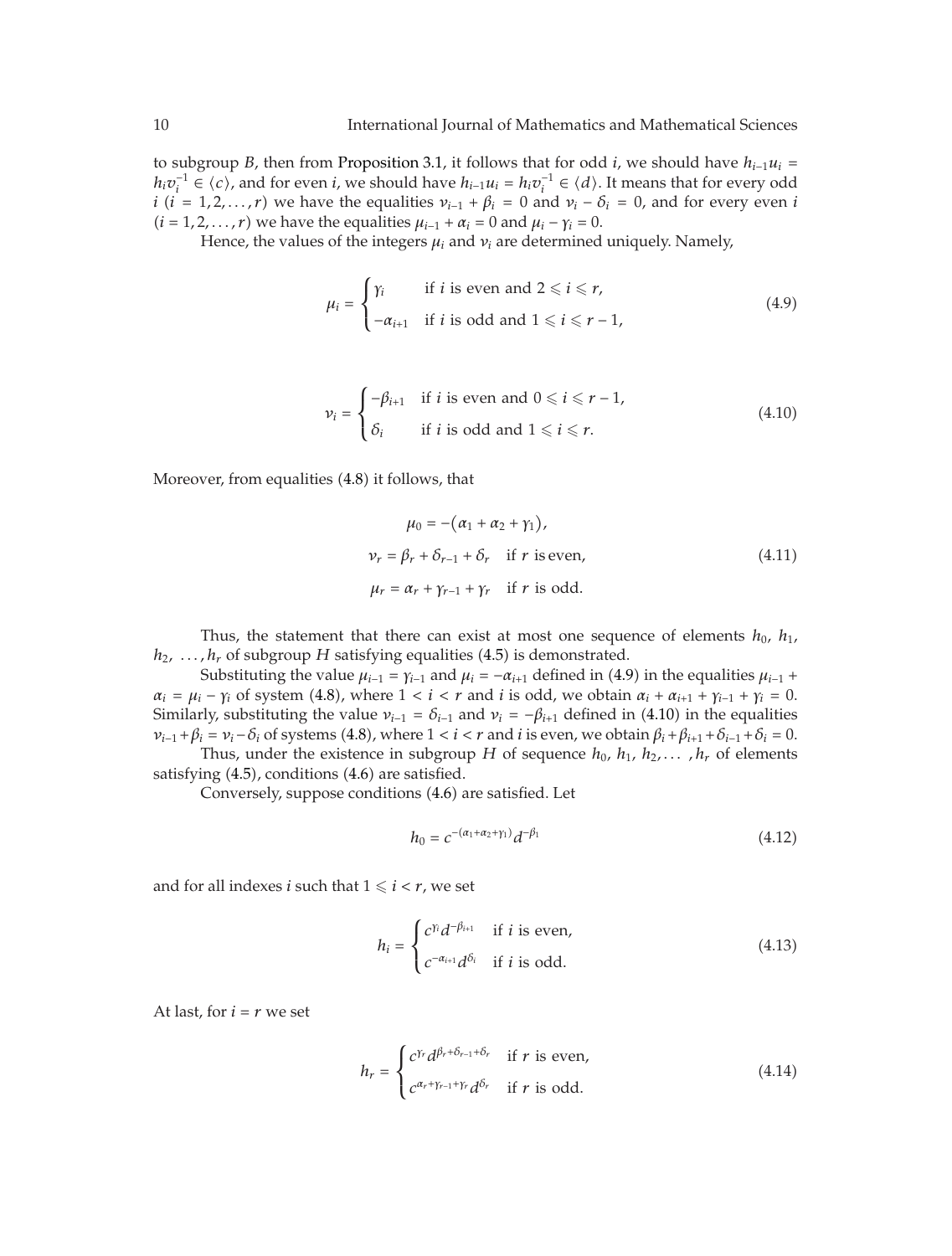to subgroup *B*, then from Proposition 3.1, it follows that for odd *i*, we should have  $h_{i-1}u_i =$ *h<sub>i</sub>v*<sup>−1</sup> ∈  $\langle c \rangle$ , and for even *i*, we should have *h*<sub>*i*−1</sub>*u*<sub>*i*</sub> = *h<sub>i</sub>v*<sup>−1</sup> ∈  $\langle d \rangle$ . It means that for every odd *i*  $(i = 1, 2, ..., r)$  we have the equalities  $v_{i-1} + \beta_i = 0$  and  $v_i - \delta_i = 0$ , and for every even *i*  $(i = 1, 2, \ldots, r)$  we have the equalities  $\mu_{i-1} + \alpha_i = 0$  and  $\mu_i - \gamma_i = 0$ .

Hence, the values of the integers  $\mu_i$  and  $\nu_i$  are determined uniquely. Namely,

$$
\mu_i = \begin{cases} \gamma_i & \text{if } i \text{ is even and } 2 \leq i \leq r, \\ -\alpha_{i+1} & \text{if } i \text{ is odd and } 1 \leq i \leq r-1, \end{cases}
$$
(4.9)

$$
\nu_i = \begin{cases}\n-\beta_{i+1} & \text{if } i \text{ is even and } 0 \leq i \leq r-1, \\
\delta_i & \text{if } i \text{ is odd and } 1 \leq i \leq r.\n\end{cases}
$$
\n(4.10)

Moreover, from equalities  $(4.8)$  it follows, that

$$
\mu_0 = -(\alpha_1 + \alpha_2 + \gamma_1),
$$
  
\n
$$
\nu_r = \beta_r + \delta_{r-1} + \delta_r \quad \text{if } r \text{ is even},
$$
  
\n
$$
\mu_r = \alpha_r + \gamma_{r-1} + \gamma_r \quad \text{if } r \text{ is odd}.
$$
\n(4.11)

Thus, the statement that there can exist at most one sequence of elements  $h_0$ ,  $h_1$ ,  $h_1, \ldots, h_r$  of subgroup *H* satisfying equalities (4.5) is demonstrated.

Substituting the value  $\mu_{i-1} = \gamma_{i-1}$  and  $\mu_i = -\alpha_{i+1}$  defined in (4.9) in the equalities  $\mu_{i-1}$  +  $\alpha_i = \mu_i - \gamma_i$  of system (4.8), where  $1 < i < r$  and *i* is odd, we obtain  $\alpha_i + \alpha_{i+1} + \gamma_{i-1} + \gamma_i = 0$ . Similarly, substituting the value  $v_{i-1} = \delta_{i-1}$  and  $v_i = -\beta_{i+1}$  defined in (4.10) in the equalities  $v_{i-1} + \beta_i = v_i - \delta_i$  of systems (4.8), where  $1 < i < r$  and *i* is even, we obtain  $\beta_i + \beta_{i+1} + \delta_{i-1} + \delta_i = 0$ .

Thus, under the existence in subgroup *H* of sequence  $h_0$ ,  $h_1$ ,  $h_2$ ,...,  $h_r$  of elements satisfying  $(4.5)$ , conditions  $(4.6)$  are satisfied.

Conversely, suppose conditions (4.6) are satisfied. Let

$$
h_0 = c^{-(\alpha_1 + \alpha_2 + \gamma_1)} d^{-\beta_1}
$$
\n(4.12)

and for all indexes *i* such that  $1 \leq i < r$ , we set

$$
h_i = \begin{cases} c^{\gamma_i} d^{-\beta_{i+1}} & \text{if } i \text{ is even,} \\ c^{-\alpha_{i+1}} d^{\delta_i} & \text{if } i \text{ is odd.} \end{cases}
$$
(4.13)

At last, for  $i = r$  we set

$$
h_r = \begin{cases} c^{\gamma_r} d^{\beta_r + \delta_{r-1} + \delta_r} & \text{if } r \text{ is even,} \\ c^{\alpha_r + \gamma_{r-1} + \gamma_r} d^{\delta_r} & \text{if } r \text{ is odd.} \end{cases}
$$
(4.14)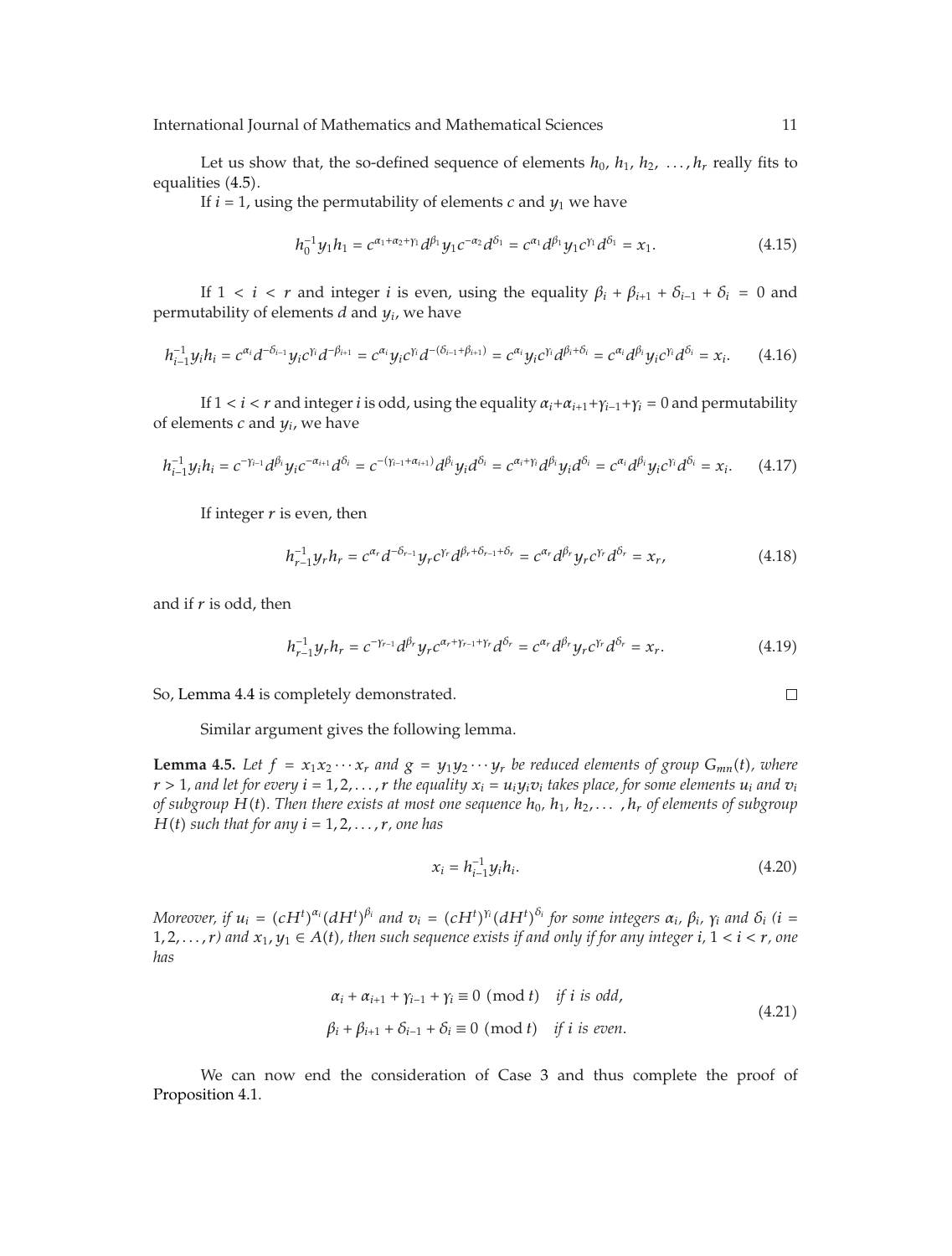International Journal of Mathematics and Mathematical Sciences 11

Let us show that, the so-defined sequence of elements  $h_0$ ,  $h_1$ ,  $h_2$ , ...,  $h_r$  really fits to equalities (4.5).

If  $i = 1$ , using the permutability of elements *c* and  $y_1$  we have

$$
h_0^{-1}y_1h_1 = c^{\alpha_1 + \alpha_2 + \gamma_1}d^{\beta_1}y_1c^{-\alpha_2}d^{\delta_1} = c^{\alpha_1}d^{\beta_1}y_1c^{\gamma_1}d^{\delta_1} = x_1.
$$
 (4.15)

If  $1 < i < r$  and integer *i* is even, using the equality  $\beta_i + \beta_{i+1} + \delta_{i-1} + \delta_i = 0$  and permutability of elements *d* and *yi*, we have

$$
h_{i-1}^{-1}y_ih_i = c^{\alpha_i}d^{-\delta_{i-1}}y_ic^{\gamma_i}d^{-\beta_{i+1}} = c^{\alpha_i}y_ic^{\gamma_i}d^{-(\delta_{i-1}+\beta_{i+1})} = c^{\alpha_i}y_ic^{\gamma_i}d^{\beta_i+\delta_i} = c^{\alpha_i}d^{\beta_i}y_ic^{\gamma_i}d^{\delta_i} = x_i.
$$
 (4.16)

If  $1 < i < r$  and integer *i* is odd, using the equality  $\alpha_i + \alpha_{i+1} + \gamma_{i-1} + \gamma_i = 0$  and permutability of elements *c* and *yi*, we have

$$
h_{i-1}^{-1}y_ih_i = c^{-\gamma_{i-1}}d^{\beta_i}y_ic^{-\alpha_{i+1}}d^{\delta_i} = c^{-(\gamma_{i-1}+\alpha_{i+1})}d^{\beta_i}y_id^{\delta_i} = c^{\alpha_i+\gamma_i}d^{\beta_i}y_id^{\delta_i} = c^{\alpha_i}d^{\beta_i}y_ic^{\gamma_i}d^{\delta_i} = x_i.
$$
 (4.17)

If integer *r* is even, then

$$
h_{r-1}^{-1}y_r h_r = c^{\alpha_r} d^{-\delta_{r-1}} y_r c^{\gamma_r} d^{\beta_r + \delta_{r-1} + \delta_r} = c^{\alpha_r} d^{\beta_r} y_r c^{\gamma_r} d^{\delta_r} = x_r,
$$
 (4.18)

and if *r* is odd, then

$$
h_{r-1}^{-1}y_r h_r = c^{-\gamma_{r-1}} d^{\beta_r} y_r c^{\alpha_r + \gamma_{r-1} + \gamma_r} d^{\delta_r} = c^{\alpha_r} d^{\beta_r} y_r c^{\gamma_r} d^{\delta_r} = x_r.
$$
 (4.19)

So, Lemma 4.4 is completely demonstrated.

$$
\qquad \qquad \Box
$$

Similar argument gives the following lemma.

**Lemma 4.5.** Let  $f = x_1x_2 \cdots x_r$  and  $g = y_1y_2 \cdots y_r$  be reduced elements of group  $G_{mn}(t)$ , where  $r > 1$ , and let for every  $i = 1, 2, ..., r$  the equality  $x_i = u_i y_i v_i$  takes place, for some elements  $u_i$  and  $v_i$ *of subgroup*  $H(t)$ . Then there exists at most one sequence  $h_0$ ,  $h_1$ ,  $h_2$ ,...,  $h_r$  of elements of subgroup *H*(*t*) *such that for any*  $i = 1, 2, \ldots, r$ *, one has* 

$$
x_i = h_{i-1}^{-1} y_i h_i. \tag{4.20}
$$

Moreover, if  $u_i = (cH^t)^{\alpha_i} (dH^t)^{\beta_i}$  and  $v_i = (cH^t)^{\gamma_i} (dH^t)^{\delta_i}$  for some integers  $\alpha_i$ ,  $\beta_i$ ,  $\gamma_i$  and  $\delta_i$  (i = 1, 2, ..., *r*) and  $x_1, y_1 \in A(t)$ , then such sequence exists if and only if for any integer *i*,  $1 < i < r$ , one *has*

$$
\alpha_i + \alpha_{i+1} + \gamma_{i-1} + \gamma_i \equiv 0 \pmod{t} \quad \text{if } i \text{ is odd,}
$$
\n
$$
\beta_i + \beta_{i+1} + \delta_{i-1} + \delta_i \equiv 0 \pmod{t} \quad \text{if } i \text{ is even.}
$$
\n(4.21)

We can now end the consideration of Case 3 and thus complete the proof of Proposition 4.1.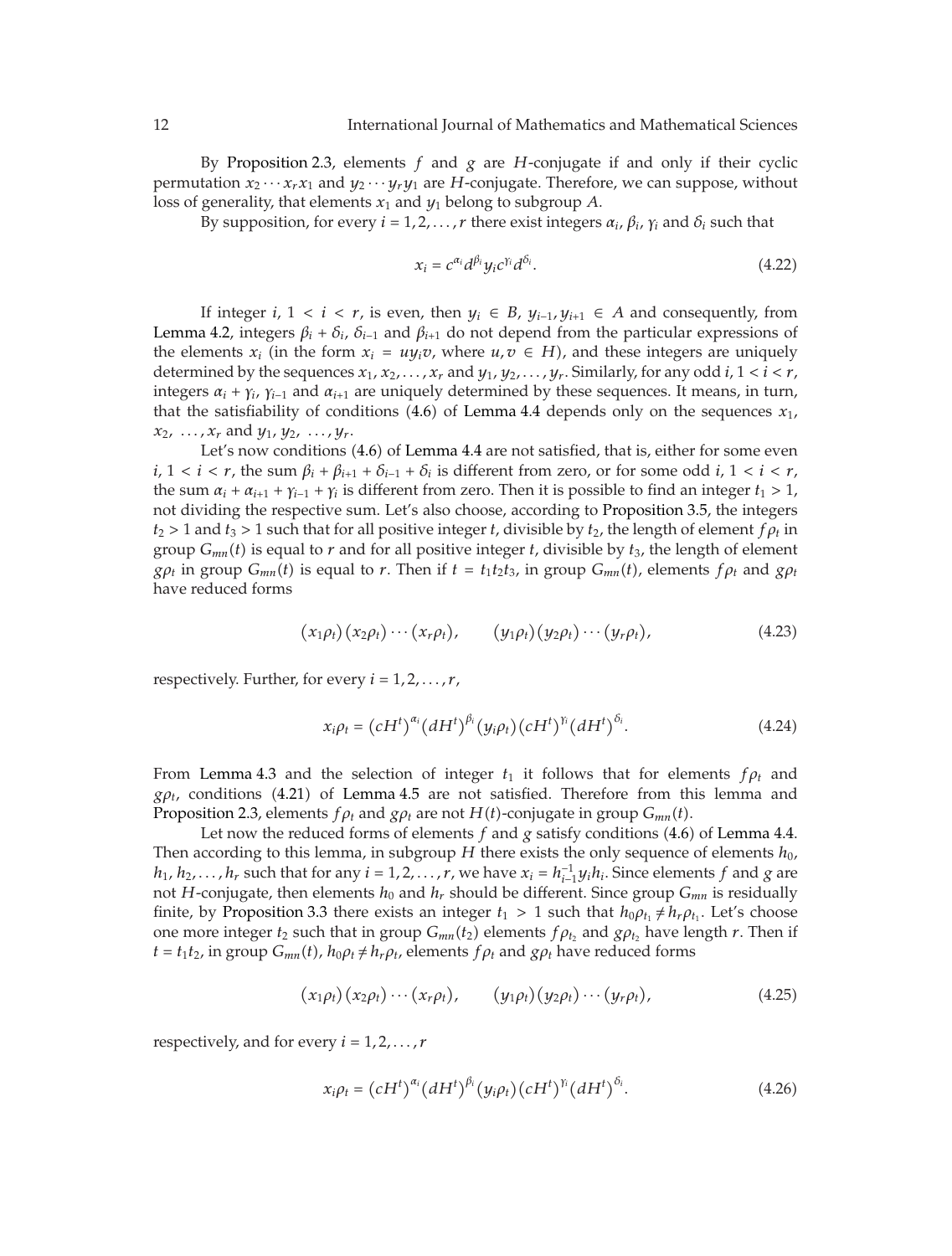By Proposition 2.3, elements *f* and *g* are *H*-conjugate if and only if their cyclic permutation  $x_2 \cdots x_r x_1$  and  $y_2 \cdots y_r y_1$  are *H*-conjugate. Therefore, we can suppose, without loss of generality, that elements  $x_1$  and  $y_1$  belong to subgroup A.

By supposition, for every  $i = 1, 2, ..., r$  there exist integers  $\alpha_i$ ,  $\beta_i$ ,  $\gamma_i$  and  $\delta_i$  such that

$$
x_i = c^{\alpha_i} d^{\beta_i} y_i c^{\gamma_i} d^{\delta_i}.
$$
\n(4.22)

If integer *i*,  $1 < i < r$ , is even, then  $y_i \in B$ ,  $y_{i-1}, y_{i+1} \in A$  and consequently, from Lemma 4.2, integers  $\beta_i + \delta_i$ ,  $\delta_{i-1}$  and  $\beta_{i+1}$  do not depend from the particular expressions of the elements  $x_i$  (in the form  $x_i = uy_iv$ , where  $u, v \in H$ ), and these integers are uniquely determined by the sequences  $x_1, x_2, \ldots, x_r$  and  $y_1, y_2, \ldots, y_r$ . Similarly, for any odd *i*,  $1 < i < r$ , integers  $\alpha_i + \gamma_i$ ,  $\gamma_{i-1}$  and  $\alpha_{i+1}$  are uniquely determined by these sequences. It means, in turn, that the satisfiability of conditions  $(4.6)$  of Lemma 4.4 depends only on the sequences  $x_1$ ,  $x_2, \ldots, x_r$  and  $y_1, y_2, \ldots, y_r$ .

Let's now conditions (4.6) of Lemma 4.4 are not satisfied, that is, either for some even *i*,  $1 < i < r$ , the sum  $\beta_i + \beta_{i+1} + \delta_{i-1} + \delta_i$  is different from zero, or for some odd *i*,  $1 < i < r$ , the sum  $\alpha_i + \alpha_{i+1} + \gamma_{i-1} + \gamma_i$  is different from zero. Then it is possible to find an integer  $t_1 > 1$ , not dividing the respective sum. Let's also choose, according to Proposition 3.5, the integers  $t_2 > 1$  and  $t_3 > 1$  such that for all positive integer *t*, divisible by  $t_2$ , the length of element  $f \rho_t$  in group  $G_{mn}(t)$  is equal to  $r$  and for all positive integer  $t$ , divisible by  $t_3$ , the length of element *gρt* in group  $G_{mn}(t)$  is equal to *r*. Then if  $t = t_1t_2t_3$ , in group  $G_{mn}(t)$ , elements  $f \rho_t$  and  $g \rho_t$ have reduced forms

$$
(x_1\rho_t)(x_2\rho_t)\cdots(x_r\rho_t), \qquad (y_1\rho_t)(y_2\rho_t)\cdots(y_r\rho_t), \qquad (4.23)
$$

respectively. Further, for every  $i = 1, 2, \ldots, r$ ,

$$
x_i \rho_t = \left(cH^t\right)^{\alpha_i} \left(dH^t\right)^{\beta_i} \left(y_i \rho_t\right) \left(cH^t\right)^{\gamma_i} \left(dH^t\right)^{\delta_i}.\tag{4.24}
$$

From Lemma 4.3 and the selection of integer  $t_1$  it follows that for elements  $f \rho_t$  and  $g\rho_t$ , conditions (4.21) of Lemma 4.5 are not satisfied. Therefore from this lemma and Proposition 2.3, elements  $f \rho_t$  and  $g \rho_t$  are not  $H(t)$ -conjugate in group  $G_{mn}(t)$ .

Let now the reduced forms of elements  $f$  and  $g$  satisfy conditions  $(4.6)$  of Lemma 4.4. Then according to this lemma, in subgroup *H* there exists the only sequence of elements  $h_0$ , *h*<sub>1</sub>, *h*<sub>2</sub>,..., *h*<sub>r</sub> such that for any *i* = 1,2,..., *r*, we have  $x_i = h_{i-1}^{-1}y_ih_i$ . Since elements *f* and *g* are not *H*-conjugate, then elements  $h_0$  and  $h_r$  should be different. Since group  $G_{mn}$  is residually finite, by Proposition 3.3 there exists an integer  $t_1 > 1$  such that  $h_0 \rho_{t_1} \neq h_r \rho_{t_1}$ . Let's choose one more integer  $t_2$  such that in group  $G_{mn}(t_2)$  elements  $f \rho_{t_2}$  and  $g \rho_{t_2}$  have length  $r$ . Then if  $t = t_1 t_2$ , in group  $G_{mn}(t)$ ,  $h_0 \rho_t \neq h_r \rho_t$ , elements  $f \rho_t$  and  $g \rho_t$  have reduced forms

$$
(x_1\rho_t)(x_2\rho_t)\cdots(x_r\rho_t), \qquad (y_1\rho_t)(y_2\rho_t)\cdots(y_r\rho_t), \qquad (4.25)
$$

respectively, and for every  $i = 1, 2, \ldots, r$ 

$$
x_i \rho_t = \left( c H^t \right)^{\alpha_i} \left( d H^t \right)^{\beta_i} \left( y_i \rho_t \right) \left( c H^t \right)^{\beta_i} \left( d H^t \right)^{\delta_i} . \tag{4.26}
$$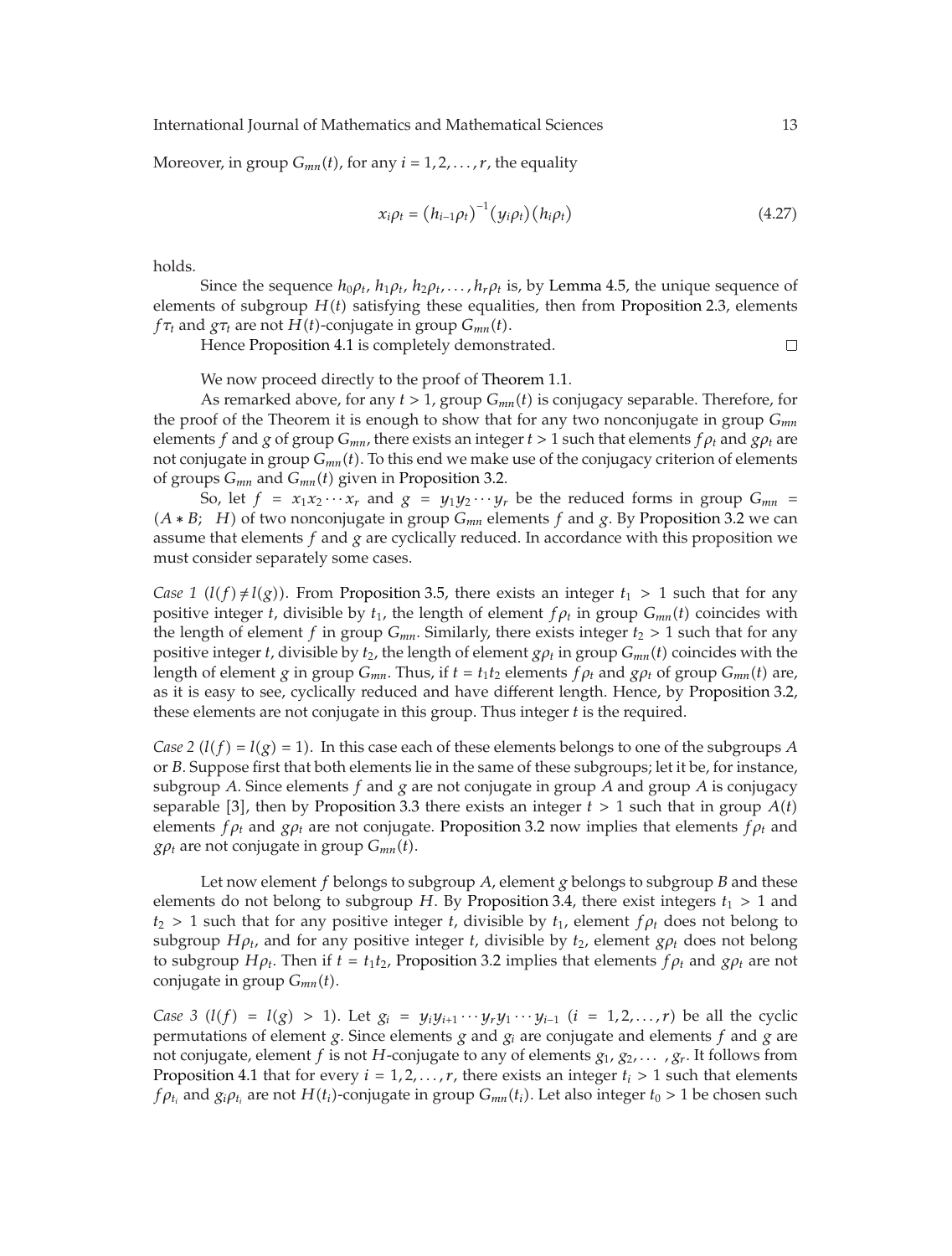International Journal of Mathematics and Mathematical Sciences 13

Moreover, in group  $G_{mn}(t)$ , for any  $i = 1, 2, ..., r$ , the equality

$$
x_i \rho_t = (h_{i-1} \rho_t)^{-1} (y_i \rho_t) (h_i \rho_t)
$$
\n(4.27)

holds.

Since the sequence  $h_0 \rho_t$ ,  $h_1 \rho_t$ ,  $h_2 \rho_t$ ,..., $h_r \rho_t$  is, by Lemma 4.5, the unique sequence of elements of subgroup  $H(t)$  satisfying these equalities, then from Proposition 2.3, elements *f* $\tau_t$  and  $g\tau_t$  are not *H*(*t*)-conjugate in group  $G_{mn}(t)$ .

Hence Proposition 4.1 is completely demonstrated.

$$
\Box
$$

We now proceed directly to the proof of Theorem 1.1.

As remarked above, for any  $t > 1$ , group  $G_{mn}(t)$  is conjugacy separable. Therefore, for the proof of the Theorem it is enough to show that for any two nonconjugate in group *Gmn* elements *f* and *g* of group  $G_{mn}$ , there exists an integer  $t > 1$  such that elements  $f \rho_t$  and  $g \rho_t$  are not conjugate in group *Gmnt*. To this end we make use of the conjugacy criterion of elements of groups *Gmn* and *Gmnt* given in Proposition 3.2.

So, let  $f = x_1x_2 \cdots x_r$  and  $g = y_1y_2 \cdots y_r$  be the reduced forms in group  $G_{mn}$  $(A * B; H)$  of two nonconjugate in group  $G_{mn}$  elements  $f$  and  $g$ . By Proposition 3.2 we can assume that elements *f* and *g* are cyclically reduced. In accordance with this proposition we must consider separately some cases.

*Case 1*  $(l(f) \neq l(g))$ . From Proposition 3.5, there exists an integer  $t_1 > 1$  such that for any positive integer *t*, divisible by  $t_1$ , the length of element  $f \rho_t$  in group  $G_{mn}(t)$  coincides with the length of element *f* in group  $G_{mn}$ . Similarly, there exists integer  $t_2 > 1$  such that for any positive integer *t*, divisible by  $t_2$ , the length of element  $g\rho_t$  in group  $G_{mn}(t)$  coincides with the length of element *g* in group  $G_{mn}$ . Thus, if  $t = t_1 t_2$  elements  $f \rho_t$  and  $g \rho_t$  of group  $G_{mn}(t)$  are, as it is easy to see, cyclically reduced and have different length. Hence, by Proposition 3.2, these elements are not conjugate in this group. Thus integer *t* is the required.

*Case 2* ( $l(f) = l(g) = 1$ ). In this case each of these elements belongs to one of the subgroups *A* or *B*. Suppose first that both elements lie in the same of these subgroups; let it be, for instance, subgroup *A*. Since elements *f* and *g* are not conjugate in group *A* and group *A* is conjugacy separable [3], then by Proposition 3.3 there exists an integer  $t > 1$  such that in group  $A(t)$ elements  $f \rho_t$  and  $g \rho_t$  are not conjugate. Proposition 3.2 now implies that elements  $f \rho_t$  and *g* $\rho_t$  are not conjugate in group  $G_{mn}(t)$ .

Let now element *f* belongs to subgroup *A*, element *g* belongs to subgroup *B* and these elements do not belong to subgroup *H*. By Proposition 3.4, there exist integers  $t_1 > 1$  and  $t_2 > 1$  such that for any positive integer *t*, divisible by  $t_1$ , element  $f \rho_t$  does not belong to subgroup  $H\rho_t$ , and for any positive integer *t*, divisible by  $t_2$ , element  $g\rho_t$  does not belong to subgroup *H<sub>Pt</sub>*. Then if  $t = t_1t_2$ , Proposition 3.2 implies that elements  $f_{\rho_t}$  and  $g_{\rho_t}$  are not conjugate in group *Gmnt*.

*Case 3*  $(l(f) = l(g) > 1)$ . Let  $g_i = y_i y_{i+1} \cdots y_r y_1 \cdots y_{i-1}$   $(i = 1, 2, ..., r)$  be all the cyclic permutations of element *g*. Since elements *g* and  $g_i$  are conjugate and elements *f* and *g* are not conjugate, element *f* is not *H*-conjugate to any of elements *g*1, *g*2*,... ,gr* . It follows from Proposition 4.1 that for every  $i = 1, 2, \ldots, r$ , there exists an integer  $t_i > 1$  such that elements *f* $\rho_{t_i}$  and  $g_i \rho_{t_i}$  are not  $H(t_i)$ -conjugate in group  $G_{mn}(t_i)$ . Let also integer  $t_0 > 1$  be chosen such